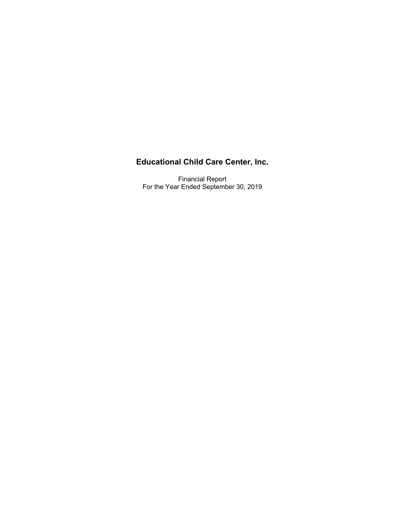# **Educational Child Care Center, Inc.**

Financial Report For the Year Ended September 30, 2019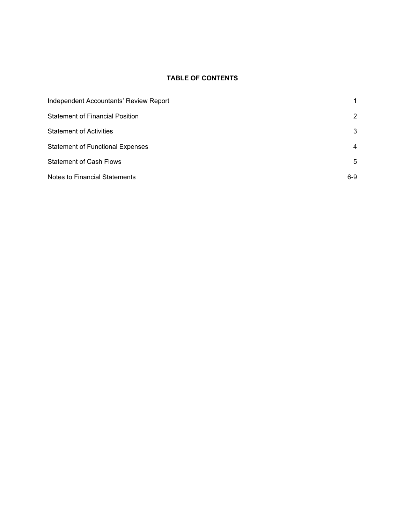# **TABLE OF CONTENTS**

| Independent Accountants' Review Report  |     |
|-----------------------------------------|-----|
| Statement of Financial Position         | 2   |
| <b>Statement of Activities</b>          | 3   |
| <b>Statement of Functional Expenses</b> | 4   |
| <b>Statement of Cash Flows</b>          | 5   |
| <b>Notes to Financial Statements</b>    | 6-9 |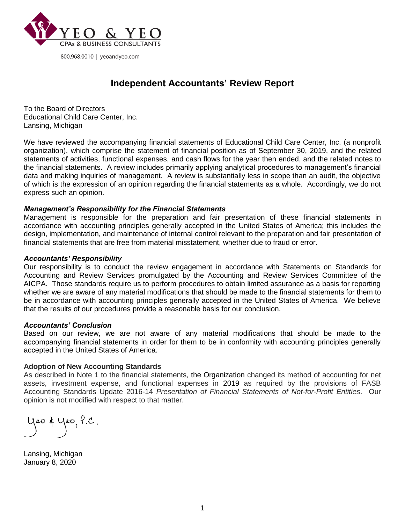

800.968.0010 | yeoandyeo.com

# **Independent Accountants' Review Report**

To the Board of Directors Educational Child Care Center, Inc. Lansing, Michigan

We have reviewed the accompanying financial statements of Educational Child Care Center, Inc. (a nonprofit organization), which comprise the statement of financial position as of September 30, 2019, and the related statements of activities, functional expenses, and cash flows for the year then ended, and the related notes to the financial statements. A review includes primarily applying analytical procedures to management's financial data and making inquiries of management. A review is substantially less in scope than an audit, the objective of which is the expression of an opinion regarding the financial statements as a whole. Accordingly, we do not express such an opinion.

# *Management's Responsibility for the Financial Statements*

Management is responsible for the preparation and fair presentation of these financial statements in accordance with accounting principles generally accepted in the United States of America; this includes the design, implementation, and maintenance of internal control relevant to the preparation and fair presentation of financial statements that are free from material misstatement, whether due to fraud or error.

# *Accountants' Responsibility*

Our responsibility is to conduct the review engagement in accordance with Statements on Standards for Accounting and Review Services promulgated by the Accounting and Review Services Committee of the AICPA. Those standards require us to perform procedures to obtain limited assurance as a basis for reporting whether we are aware of any material modifications that should be made to the financial statements for them to be in accordance with accounting principles generally accepted in the United States of America. We believe that the results of our procedures provide a reasonable basis for our conclusion.

# *Accountants' Conclusion*

Based on our review, we are not aware of any material modifications that should be made to the accompanying financial statements in order for them to be in conformity with accounting principles generally accepted in the United States of America.

## **Adoption of New Accounting Standards**

As described in Note 1 to the financial statements, the Organization changed its method of accounting for net assets, investment expense, and functional expenses in 2019 as required by the provisions of FASB Accounting Standards Update 2016-14 *Presentation of Financial Statements of Not-for-Profit Entities*. Our opinion is not modified with respect to that matter.

 $U$ eo & Yeo, P.C.

Lansing, Michigan January 8, 2020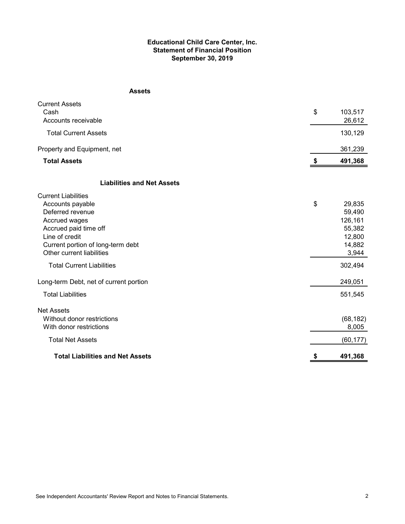# **Educational Child Care Center, Inc. Statement of Financial Position September 30, 2019**

# **Assets**

| <b>Current Assets</b><br>Cash<br>Accounts receivable                                                                                                                                                                                 | \$<br>103,517<br>26,612                                                             |
|--------------------------------------------------------------------------------------------------------------------------------------------------------------------------------------------------------------------------------------|-------------------------------------------------------------------------------------|
| <b>Total Current Assets</b>                                                                                                                                                                                                          | 130,129                                                                             |
| Property and Equipment, net                                                                                                                                                                                                          | 361,239                                                                             |
| <b>Total Assets</b>                                                                                                                                                                                                                  | \$<br>491,368                                                                       |
| <b>Liabilities and Net Assets</b>                                                                                                                                                                                                    |                                                                                     |
| <b>Current Liabilities</b><br>Accounts payable<br>Deferred revenue<br>Accrued wages<br>Accrued paid time off<br>Line of credit<br>Current portion of long-term debt<br>Other current liabilities<br><b>Total Current Liabilities</b> | \$<br>29,835<br>59,490<br>126,161<br>55,382<br>12,800<br>14,882<br>3,944<br>302,494 |
| Long-term Debt, net of current portion                                                                                                                                                                                               | 249,051                                                                             |
| <b>Total Liabilities</b>                                                                                                                                                                                                             | 551,545                                                                             |
| <b>Net Assets</b><br>Without donor restrictions<br>With donor restrictions<br><b>Total Net Assets</b>                                                                                                                                | (68, 182)<br>8,005<br>(60, 177)                                                     |
| <b>Total Liabilities and Net Assets</b>                                                                                                                                                                                              | 491,368                                                                             |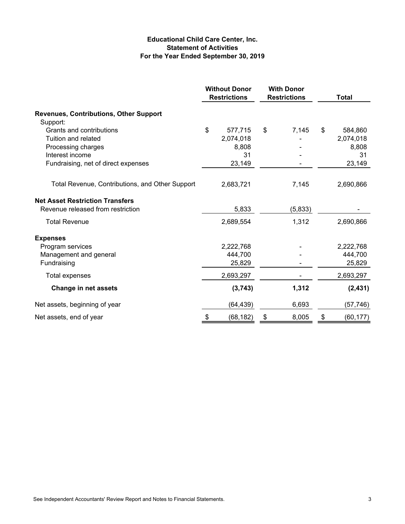# **For the Year Ended September 30, 2019 Statement of Activities Educational Child Care Center, Inc.**

|                                                 |    |           | <b>Without Donor</b><br><b>With Donor</b><br><b>Restrictions</b><br><b>Restrictions</b> |         | <b>Total</b>    |  |
|-------------------------------------------------|----|-----------|-----------------------------------------------------------------------------------------|---------|-----------------|--|
| <b>Revenues, Contributions, Other Support</b>   |    |           |                                                                                         |         |                 |  |
| Support:                                        |    |           |                                                                                         |         |                 |  |
| Grants and contributions                        | \$ | 577,715   | \$                                                                                      | 7,145   | \$<br>584,860   |  |
| Tuition and related                             |    | 2,074,018 |                                                                                         |         | 2,074,018       |  |
| Processing charges                              |    | 8,808     |                                                                                         |         | 8,808           |  |
| Interest income                                 |    | 31        |                                                                                         |         | 31              |  |
| Fundraising, net of direct expenses             |    | 23,149    |                                                                                         |         | 23,149          |  |
| Total Revenue, Contributions, and Other Support |    | 2,683,721 |                                                                                         | 7,145   | 2,690,866       |  |
| <b>Net Asset Restriction Transfers</b>          |    |           |                                                                                         |         |                 |  |
| Revenue released from restriction               |    | 5,833     |                                                                                         | (5,833) |                 |  |
| <b>Total Revenue</b>                            |    | 2,689,554 |                                                                                         | 1,312   | 2,690,866       |  |
| <b>Expenses</b>                                 |    |           |                                                                                         |         |                 |  |
| Program services                                |    | 2,222,768 |                                                                                         |         | 2,222,768       |  |
| Management and general                          |    | 444,700   |                                                                                         |         | 444,700         |  |
| Fundraising                                     |    | 25,829    |                                                                                         |         | 25,829          |  |
| Total expenses                                  |    | 2,693,297 |                                                                                         |         | 2,693,297       |  |
| <b>Change in net assets</b>                     |    | (3,743)   |                                                                                         | 1,312   | (2, 431)        |  |
| Net assets, beginning of year                   |    | (64, 439) |                                                                                         | 6,693   | (57,746)        |  |
| Net assets, end of year                         | \$ | (68, 182) | \$                                                                                      | 8,005   | \$<br>(60, 177) |  |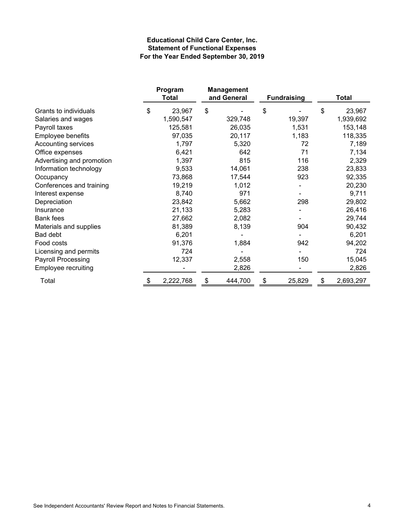# **For the Year Ended September 30, 2019 Statement of Functional Expenses Educational Child Care Center, Inc.**

|                           | Program<br><b>Total</b> | <b>Management</b><br>and General |    | <b>Fundraising</b> | <b>Total</b>    |
|---------------------------|-------------------------|----------------------------------|----|--------------------|-----------------|
| Grants to individuals     | \$<br>23,967            | \$                               | \$ |                    | \$<br>23,967    |
| Salaries and wages        | 1,590,547               | 329,748                          |    | 19,397             | 1,939,692       |
| Payroll taxes             | 125,581                 | 26,035                           |    | 1,531              | 153,148         |
| Employee benefits         | 97,035                  | 20,117                           |    | 1,183              | 118,335         |
| Accounting services       | 1,797                   | 5,320                            |    | 72                 | 7,189           |
| Office expenses           | 6,421                   | 642                              |    | 71                 | 7,134           |
| Advertising and promotion | 1,397                   | 815                              |    | 116                | 2,329           |
| Information technology    | 9,533                   | 14,061                           |    | 238                | 23,833          |
| Occupancy                 | 73,868                  | 17,544                           |    | 923                | 92,335          |
| Conferences and training  | 19,219                  | 1,012                            |    |                    | 20,230          |
| Interest expense          | 8,740                   | 971                              |    |                    | 9,711           |
| Depreciation              | 23,842                  | 5,662                            |    | 298                | 29,802          |
| Insurance                 | 21,133                  | 5,283                            |    |                    | 26,416          |
| <b>Bank fees</b>          | 27,662                  | 2,082                            |    |                    | 29,744          |
| Materials and supplies    | 81,389                  | 8,139                            |    | 904                | 90,432          |
| Bad debt                  | 6,201                   |                                  |    |                    | 6,201           |
| Food costs                | 91,376                  | 1,884                            |    | 942                | 94,202          |
| Licensing and permits     | 724                     |                                  |    |                    | 724             |
| <b>Payroll Processing</b> | 12,337                  | 2,558                            |    | 150                | 15,045          |
| Employee recruiting       |                         | 2,826                            |    |                    | 2,826           |
| Total                     | 2,222,768               | \$<br>444,700                    | S  | 25,829             | \$<br>2,693,297 |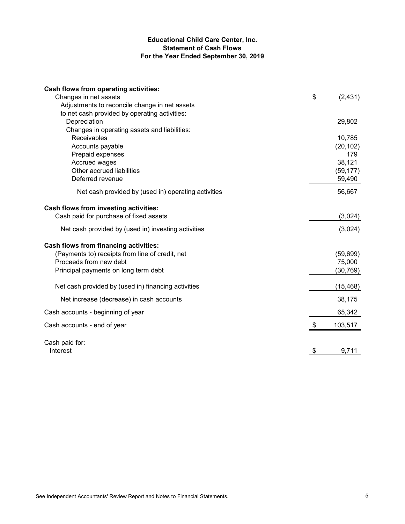# **Educational Child Care Center, Inc. Statement of Cash Flows For the Year Ended September 30, 2019**

| Cash flows from operating activities:               |                |
|-----------------------------------------------------|----------------|
| Changes in net assets                               | \$<br>(2, 431) |
| Adjustments to reconcile change in net assets       |                |
| to net cash provided by operating activities:       |                |
| Depreciation                                        | 29,802         |
| Changes in operating assets and liabilities:        |                |
| <b>Receivables</b>                                  | 10,785         |
| Accounts payable                                    | (20, 102)      |
| Prepaid expenses                                    | 179            |
| Accrued wages                                       | 38,121         |
| Other accrued liabilities                           | (59, 177)      |
| Deferred revenue                                    | 59,490         |
| Net cash provided by (used in) operating activities | 56,667         |
| Cash flows from investing activities:               |                |
| Cash paid for purchase of fixed assets              | (3,024)        |
| Net cash provided by (used in) investing activities | (3,024)        |
| <b>Cash flows from financing activities:</b>        |                |
| (Payments to) receipts from line of credit, net     | (59, 699)      |
| Proceeds from new debt                              | 75,000         |
| Principal payments on long term debt                | (30, 769)      |
| Net cash provided by (used in) financing activities | (15, 468)      |
| Net increase (decrease) in cash accounts            | 38,175         |
| Cash accounts - beginning of year                   | 65,342         |
| Cash accounts - end of year                         | 103,517        |
| Cash paid for:                                      |                |
| Interest                                            | \$<br>9,711    |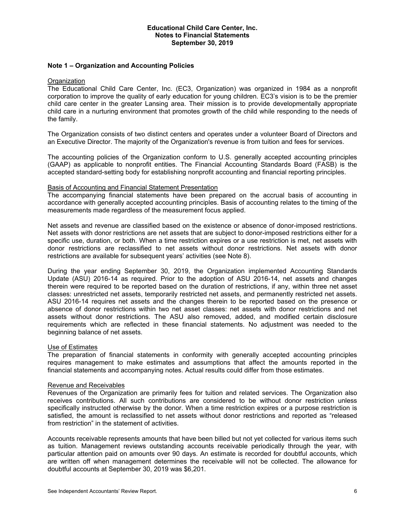## **Note 1 – Organization and Accounting Policies**

#### **Organization**

The Educational Child Care Center, Inc. (EC3, Organization) was organized in 1984 as a nonprofit corporation to improve the quality of early education for young children. EC3's vision is to be the premier child care center in the greater Lansing area. Their mission is to provide developmentally appropriate child care in a nurturing environment that promotes growth of the child while responding to the needs of the family.

The Organization consists of two distinct centers and operates under a volunteer Board of Directors and an Executive Director. The majority of the Organization's revenue is from tuition and fees for services.

The accounting policies of the Organization conform to U.S. generally accepted accounting principles (GAAP) as applicable to nonprofit entities. The Financial Accounting Standards Board (FASB) is the accepted standard-setting body for establishing nonprofit accounting and financial reporting principles.

#### Basis of Accounting and Financial Statement Presentation

The accompanying financial statements have been prepared on the accrual basis of accounting in accordance with generally accepted accounting principles. Basis of accounting relates to the timing of the measurements made regardless of the measurement focus applied.

Net assets and revenue are classified based on the existence or absence of donor-imposed restrictions. Net assets with donor restrictions are net assets that are subject to donor-imposed restrictions either for a specific use, duration, or both. When a time restriction expires or a use restriction is met, net assets with donor restrictions are reclassified to net assets without donor restrictions. Net assets with donor restrictions are available for subsequent years' activities (see Note 8).

During the year ending September 30, 2019, the Organization implemented Accounting Standards Update (ASU) 2016-14 as required. Prior to the adoption of ASU 2016-14, net assets and changes therein were required to be reported based on the duration of restrictions, if any, within three net asset classes: unrestricted net assets, temporarily restricted net assets, and permanently restricted net assets. ASU 2016-14 requires net assets and the changes therein to be reported based on the presence or absence of donor restrictions within two net asset classes: net assets with donor restrictions and net assets without donor restrictions. The ASU also removed, added, and modified certain disclosure requirements which are reflected in these financial statements. No adjustment was needed to the beginning balance of net assets.

#### Use of Estimates

The preparation of financial statements in conformity with generally accepted accounting principles requires management to make estimates and assumptions that affect the amounts reported in the financial statements and accompanying notes. Actual results could differ from those estimates.

#### Revenue and Receivables

Revenues of the Organization are primarily fees for tuition and related services. The Organization also receives contributions. All such contributions are considered to be without donor restriction unless specifically instructed otherwise by the donor. When a time restriction expires or a purpose restriction is satisfied, the amount is reclassified to net assets without donor restrictions and reported as "released from restriction" in the statement of activities.

Accounts receivable represents amounts that have been billed but not yet collected for various items such as tuition. Management reviews outstanding accounts receivable periodically through the year, with particular attention paid on amounts over 90 days. An estimate is recorded for doubtful accounts, which are written off when management determines the receivable will not be collected. The allowance for doubtful accounts at September 30, 2019 was \$6,201.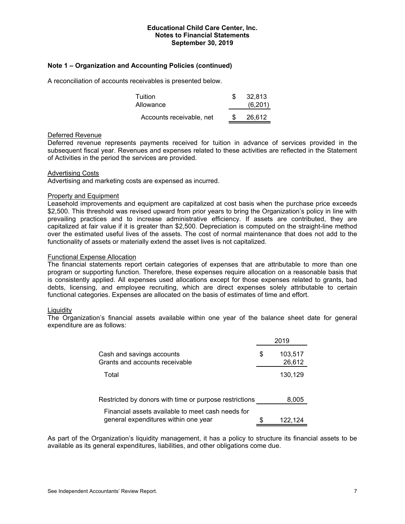# **Note 1 – Organization and Accounting Policies (continued)**

A reconciliation of accounts receivables is presented below.

| Tuition<br>Allowance     | \$. | 32.813<br>(6,201) |
|--------------------------|-----|-------------------|
| Accounts receivable, net |     | 26.612            |

#### Deferred Revenue

Deferred revenue represents payments received for tuition in advance of services provided in the subsequent fiscal year. Revenues and expenses related to these activities are reflected in the Statement of Activities in the period the services are provided.

#### Advertising Costs

Advertising and marketing costs are expensed as incurred.

#### Property and Equipment

Leasehold improvements and equipment are capitalized at cost basis when the purchase price exceeds \$2,500. This threshold was revised upward from prior years to bring the Organization's policy in line with prevailing practices and to increase administrative efficiency. If assets are contributed, they are capitalized at fair value if it is greater than \$2,500. Depreciation is computed on the straight-line method over the estimated useful lives of the assets. The cost of normal maintenance that does not add to the functionality of assets or materially extend the asset lives is not capitalized.

#### Functional Expense Allocation

The financial statements report certain categories of expenses that are attributable to more than one program or supporting function. Therefore, these expenses require allocation on a reasonable basis that is consistently applied. All expenses used allocations except for those expenses related to grants, bad debts, licensing, and employee recruiting, which are direct expenses solely attributable to certain functional categories. Expenses are allocated on the basis of estimates of time and effort.

## Liquidity

The Organization's financial assets available within one year of the balance sheet date for general expenditure are as follows:

|                                                                                           |    | 2019              |
|-------------------------------------------------------------------------------------------|----|-------------------|
| Cash and savings accounts<br>Grants and accounts receivable                               | S  | 103,517<br>26,612 |
| Total                                                                                     |    | 130,129           |
| Restricted by donors with time or purpose restrictions                                    |    | 8,005             |
| Financial assets available to meet cash needs for<br>general expenditures within one year | \$ | 122,124           |

As part of the Organization's liquidity management, it has a policy to structure its financial assets to be available as its general expenditures, liabilities, and other obligations come due.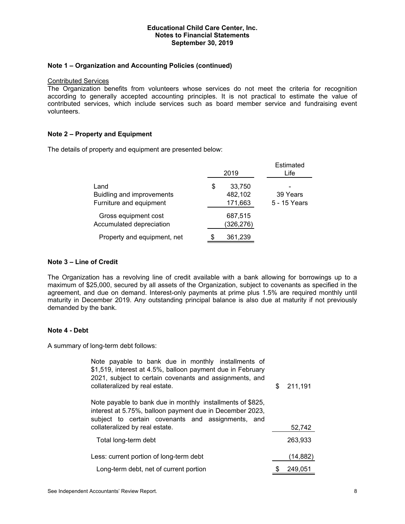## **Note 1 – Organization and Accounting Policies (continued)**

#### Contributed Services

The Organization benefits from volunteers whose services do not meet the criteria for recognition according to generally accepted accounting principles. It is not practical to estimate the value of contributed services, which include services such as board member service and fundraising event volunteers.

# **Note 2 – Property and Equipment**

The details of property and equipment are presented below:

|                                                              | 2019                               | Estimated<br>Life        |
|--------------------------------------------------------------|------------------------------------|--------------------------|
| Land<br>Buidling and improvements<br>Furniture and equipment | 33,750<br>\$<br>482,102<br>171,663 | 39 Years<br>5 - 15 Years |
| Gross equipment cost<br>Accumulated depreciation             | 687,515<br>(326,276)               |                          |
| Property and equipment, net                                  | 361,239                            |                          |

# **Note 3 – Line of Credit**

The Organization has a revolving line of credit available with a bank allowing for borrowings up to a maximum of \$25,000, secured by all assets of the Organization, subject to covenants as specified in the agreement, and due on demand. Interest-only payments at prime plus 1.5% are required monthly until maturity in December 2019. Any outstanding principal balance is also due at maturity if not previously demanded by the bank.

## **Note 4 - Debt**

A summary of long-term debt follows:

| Note payable to bank due in monthly installments of<br>\$1,519, interest at 4.5%, balloon payment due in February<br>2021, subject to certain covenants and assignments, and<br>collateralized by real estate. | \$<br>211.191 |
|----------------------------------------------------------------------------------------------------------------------------------------------------------------------------------------------------------------|---------------|
| Note payable to bank due in monthly installments of \$825,<br>interest at 5.75%, balloon payment due in December 2023,<br>subject to certain covenants and assignments, and                                    |               |
| collateralized by real estate.                                                                                                                                                                                 | 52,742        |
| Total long-term debt                                                                                                                                                                                           | 263.933       |
| Less: current portion of long-term debt                                                                                                                                                                        | (14,882)      |
| Long-term debt, net of current portion                                                                                                                                                                         | 249,051       |